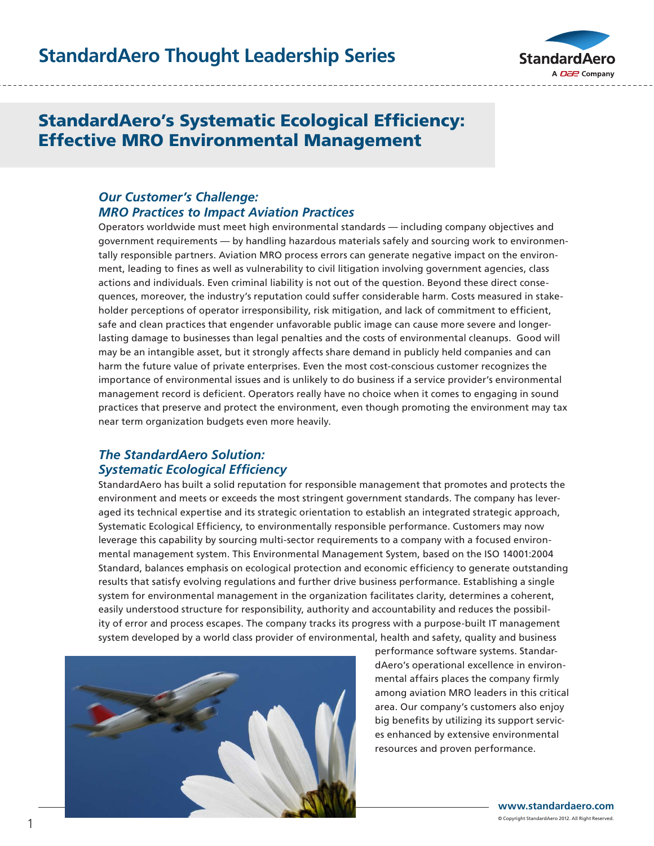

## StandardAero's Systematic Ecological Efficiency: Effective MRO Environmental Management

### *Our Customer's Challenge: MRO Practices to Impact Aviation Practices*

Operators worldwide must meet high environmental standards — including company objectives and government requirements — by handling hazardous materials safely and sourcing work to environmentally responsible partners. Aviation MRO process errors can generate negative impact on the environment, leading to fines as well as vulnerability to civil litigation involving government agencies, class actions and individuals. Even criminal liability is not out of the question. Beyond these direct consequences, moreover, the industry's reputation could suffer considerable harm. Costs measured in stakeholder perceptions of operator irresponsibility, risk mitigation, and lack of commitment to efficient, safe and clean practices that engender unfavorable public image can cause more severe and longerlasting damage to businesses than legal penalties and the costs of environmental cleanups. Good will may be an intangible asset, but it strongly affects share demand in publicly held companies and can harm the future value of private enterprises. Even the most cost-conscious customer recognizes the importance of environmental issues and is unlikely to do business if a service provider's environmental management record is deficient. Operators really have no choice when it comes to engaging in sound practices that preserve and protect the environment, even though promoting the environment may tax near term organization budgets even more heavily.

### *The StandardAero Solution: Systematic Ecological Efficiency*

StandardAero has built a solid reputation for responsible management that promotes and protects the environment and meets or exceeds the most stringent government standards. The company has leveraged its technical expertise and its strategic orientation to establish an integrated strategic approach, Systematic Ecological Efficiency, to environmentally responsible performance. Customers may now leverage this capability by sourcing multi-sector requirements to a company with a focused environmental management system. This Environmental Management System, based on the ISO 14001:2004 Standard, balances emphasis on ecological protection and economic efficiency to generate outstanding results that satisfy evolving regulations and further drive business performance. Establishing a single system for environmental management in the organization facilitates clarity, determines a coherent, easily understood structure for responsibility, authority and accountability and reduces the possibility of error and process escapes. The company tracks its progress with a purpose-built IT management system developed by a world class provider of environmental, health and safety, quality and business



performance software systems. StandardAero's operational excellence in environmental affairs places the company firmly among aviation MRO leaders in this critical area. Our company's customers also enjoy big benefits by utilizing its support services enhanced by extensive environmental resources and proven performance.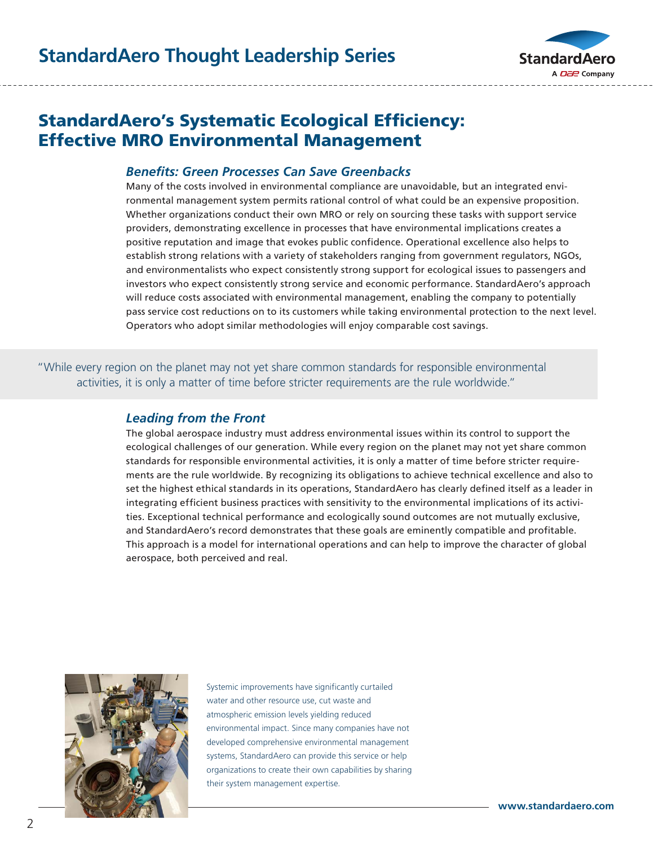

# StandardAero's Systematic Ecological Efficiency: Effective MRO Environmental Management

#### *Benefits: Green Processes Can Save Greenbacks*

Many of the costs involved in environmental compliance are unavoidable, but an integrated environmental management system permits rational control of what could be an expensive proposition. Whether organizations conduct their own MRO or rely on sourcing these tasks with support service providers, demonstrating excellence in processes that have environmental implications creates a positive reputation and image that evokes public confidence. Operational excellence also helps to establish strong relations with a variety of stakeholders ranging from government regulators, NGOs, and environmentalists who expect consistently strong support for ecological issues to passengers and investors who expect consistently strong service and economic performance. StandardAero's approach will reduce costs associated with environmental management, enabling the company to potentially pass service cost reductions on to its customers while taking environmental protection to the next level. Operators who adopt similar methodologies will enjoy comparable cost savings.

"While every region on the planet may not yet share common standards for responsible environmental activities, it is only a matter of time before stricter requirements are the rule worldwide."

#### *Leading from the Front*

The global aerospace industry must address environmental issues within its control to support the ecological challenges of our generation. While every region on the planet may not yet share common standards for responsible environmental activities, it is only a matter of time before stricter requirements are the rule worldwide. By recognizing its obligations to achieve technical excellence and also to set the highest ethical standards in its operations, StandardAero has clearly defined itself as a leader in integrating efficient business practices with sensitivity to the environmental implications of its activities. Exceptional technical performance and ecologically sound outcomes are not mutually exclusive, and StandardAero's record demonstrates that these goals are eminently compatible and profitable. This approach is a model for international operations and can help to improve the character of global aerospace, both perceived and real.



Systemic improvements have significantly curtailed water and other resource use, cut waste and atmospheric emission levels yielding reduced environmental impact. Since many companies have not developed comprehensive environmental management systems, StandardAero can provide this service or help organizations to create their own capabilities by sharing their system management expertise.